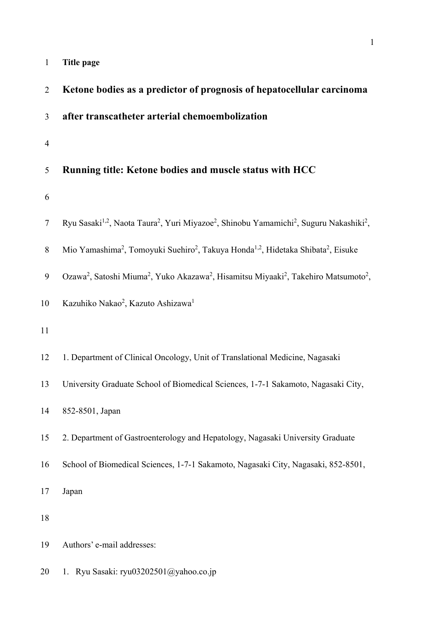|  | Title page |
|--|------------|
|--|------------|

| $\overline{2}$ | Ketone bodies as a predictor of prognosis of hepatocellular carcinoma                                                                               |
|----------------|-----------------------------------------------------------------------------------------------------------------------------------------------------|
| 3              | after transcatheter arterial chemoembolization                                                                                                      |
| $\overline{4}$ |                                                                                                                                                     |
| 5              | Running title: Ketone bodies and muscle status with HCC                                                                                             |
| 6              |                                                                                                                                                     |
| 7              | Ryu Sasaki <sup>1,2</sup> , Naota Taura <sup>2</sup> , Yuri Miyazoe <sup>2</sup> , Shinobu Yamamichi <sup>2</sup> , Suguru Nakashiki <sup>2</sup> , |
| $8\,$          | Mio Yamashima <sup>2</sup> , Tomoyuki Suehiro <sup>2</sup> , Takuya Honda <sup>1,2</sup> , Hidetaka Shibata <sup>2</sup> , Eisuke                   |
| 9              | Ozawa <sup>2</sup> , Satoshi Miuma <sup>2</sup> , Yuko Akazawa <sup>2</sup> , Hisamitsu Miyaaki <sup>2</sup> , Takehiro Matsumoto <sup>2</sup> ,    |
| 10             | Kazuhiko Nakao <sup>2</sup> , Kazuto Ashizawa <sup>1</sup>                                                                                          |
| 11             |                                                                                                                                                     |
| 12             | 1. Department of Clinical Oncology, Unit of Translational Medicine, Nagasaki                                                                        |
| 13             | University Graduate School of Biomedical Sciences, 1-7-1 Sakamoto, Nagasaki City,                                                                   |
| 14             | 852-8501, Japan                                                                                                                                     |
| 15             | 2. Department of Gastroenterology and Hepatology, Nagasaki University Graduate                                                                      |
| 16             | School of Biomedical Sciences, 1-7-1 Sakamoto, Nagasaki City, Nagasaki, 852-8501,                                                                   |
| 17             | Japan                                                                                                                                               |
| 18             |                                                                                                                                                     |
| 19             | Authors' e-mail addresses:                                                                                                                          |
| 20             | 1. Ryu Sasaki: ryu03202501@yahoo.co.jp                                                                                                              |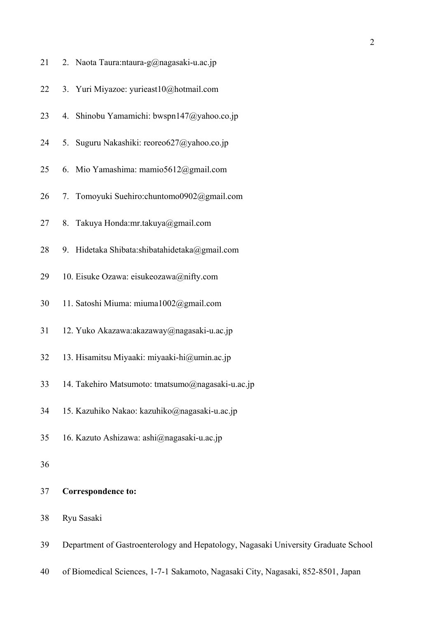| 21 | 2. Naota Taura:ntaura-g@nagasaki-u.ac.jp                                           |
|----|------------------------------------------------------------------------------------|
| 22 | 3. Yuri Miyazoe: yurieast10@hotmail.com                                            |
| 23 | 4. Shinobu Yamamichi: bwspn147@yahoo.co.jp                                         |
| 24 | 5. Suguru Nakashiki: reoreo627@yahoo.co.jp                                         |
| 25 | 6. Mio Yamashima: mamio5612@gmail.com                                              |
| 26 | 7. Tomoyuki Suehiro:chuntomo0902@gmail.com                                         |
| 27 | 8. Takuya Honda:mr.takuya@gmail.com                                                |
| 28 | 9. Hidetaka Shibata:shibatahidetaka@gmail.com                                      |
| 29 | 10. Eisuke Ozawa: eisukeozawa@nifty.com                                            |
| 30 | 11. Satoshi Miuma: miuma1002@gmail.com                                             |
| 31 | 12. Yuko Akazawa:akazaway@nagasaki-u.ac.jp                                         |
| 32 | 13. Hisamitsu Miyaaki: miyaaki-hi@umin.ac.jp                                       |
| 33 | 14. Takehiro Matsumoto: tmatsumo@nagasaki-u.ac.jp                                  |
| 34 | 15. Kazuhiko Nakao: kazuhiko@nagasaki-u.ac.jp                                      |
| 35 | 16. Kazuto Ashizawa: ashi@nagasaki-u.ac.jp                                         |
| 36 |                                                                                    |
| 37 | <b>Correspondence to:</b>                                                          |
| 38 | Ryu Sasaki                                                                         |
| 39 | Department of Gastroenterology and Hepatology, Nagasaki University Graduate School |

40 of Biomedical Sciences, 1-7-1 Sakamoto, Nagasaki City, Nagasaki, 852-8501, Japan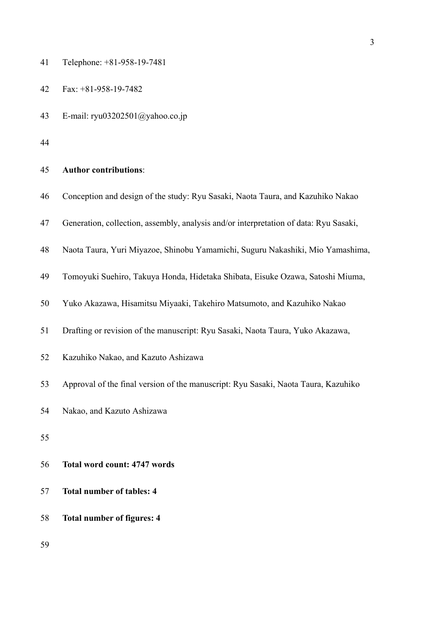| 41 | Telephone: +81-958-19-7481 |  |  |  |
|----|----------------------------|--|--|--|
|----|----------------------------|--|--|--|

| 42 | Fax: $+81-958-19-7482$ |
|----|------------------------|
|    |                        |

- 43 E-mail: ryu03202501@yahoo.co.jp
- 44

#### 45 **Author contributions**:

|  |  | 46 Conception and design of the study: Ryu Sasaki, Naota Taura, and Kazuhiko Nakao |  |
|--|--|------------------------------------------------------------------------------------|--|
|  |  |                                                                                    |  |

- 47 Generation, collection, assembly, analysis and/or interpretation of data: Ryu Sasaki,
- 48 Naota Taura, Yuri Miyazoe, Shinobu Yamamichi, Suguru Nakashiki, Mio Yamashima,
- 49 Tomoyuki Suehiro, Takuya Honda, Hidetaka Shibata, Eisuke Ozawa, Satoshi Miuma,
- 50 Yuko Akazawa, Hisamitsu Miyaaki, Takehiro Matsumoto, and Kazuhiko Nakao
- 51 Drafting or revision of the manuscript: Ryu Sasaki, Naota Taura, Yuko Akazawa,
- 52 Kazuhiko Nakao, and Kazuto Ashizawa
- 53 Approval of the final version of the manuscript: Ryu Sasaki, Naota Taura, Kazuhiko
- 54 Nakao, and Kazuto Ashizawa
- 55
- 56 **Total word count: 4747 words**
- 57 **Total number of tables: 4**
- 58 **Total number of figures: 4**
- 59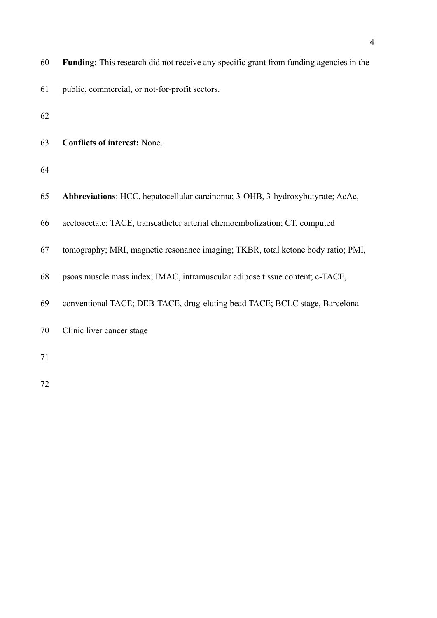| 60 | Funding: This research did not receive any specific grant from funding agencies in the |
|----|----------------------------------------------------------------------------------------|
| 61 | public, commercial, or not-for-profit sectors.                                         |
| 62 |                                                                                        |
| 63 | <b>Conflicts of interest: None.</b>                                                    |
| 64 |                                                                                        |
| 65 | Abbreviations: HCC, hepatocellular carcinoma; 3-OHB, 3-hydroxybutyrate; AcAc,          |
| 66 | acetoacetate; TACE, transcatheter arterial chemoembolization; CT, computed             |
| 67 | tomography; MRI, magnetic resonance imaging; TKBR, total ketone body ratio; PMI,       |
| 68 | psoas muscle mass index; IMAC, intramuscular adipose tissue content; c-TACE,           |
| 69 | conventional TACE; DEB-TACE, drug-eluting bead TACE; BCLC stage, Barcelona             |
| 70 | Clinic liver cancer stage                                                              |
| 71 |                                                                                        |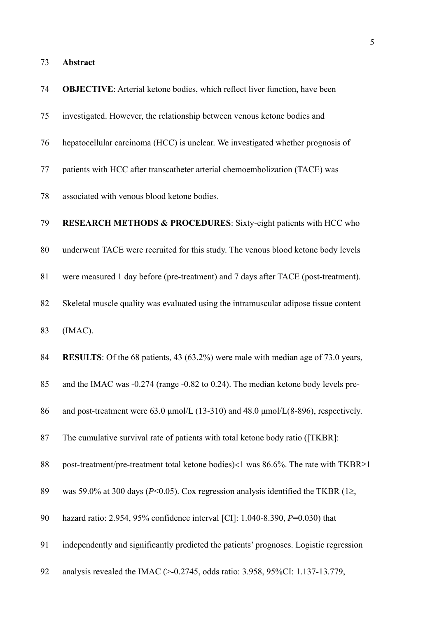| 74 | <b>OBJECTIVE:</b> Arterial ketone bodies, which reflect liver function, have been            |
|----|----------------------------------------------------------------------------------------------|
| 75 | investigated. However, the relationship between venous ketone bodies and                     |
| 76 | hepatocellular carcinoma (HCC) is unclear. We investigated whether prognosis of              |
| 77 | patients with HCC after transcatheter arterial chemoembolization (TACE) was                  |
| 78 | associated with venous blood ketone bodies.                                                  |
| 79 | <b>RESEARCH METHODS &amp; PROCEDURES:</b> Sixty-eight patients with HCC who                  |
| 80 | underwent TACE were recruited for this study. The venous blood ketone body levels            |
| 81 | were measured 1 day before (pre-treatment) and 7 days after TACE (post-treatment).           |
| 82 | Skeletal muscle quality was evaluated using the intramuscular adipose tissue content         |
| 83 | (IMAC).                                                                                      |
| 84 | <b>RESULTS</b> : Of the 68 patients, 43 (63.2%) were male with median age of 73.0 years,     |
| 85 | and the IMAC was -0.274 (range -0.82 to 0.24). The median ketone body levels pre-            |
| 86 | and post-treatment were $63.0 \mu$ mol/L (13-310) and $48.0 \mu$ mol/L(8-896), respectively. |
| 87 | The cumulative survival rate of patients with total ketone body ratio ([TKBR]:               |
| 88 | post-treatment/pre-treatment total ketone bodies)<1 was 86.6%. The rate with TKBR≥1          |
| 89 | was 59.0% at 300 days ( $P<0.05$ ). Cox regression analysis identified the TKBR (1≥,         |
| 90 | hazard ratio: 2.954, 95% confidence interval [CI]: 1.040-8.390, $P=0.030$ ) that             |
| 91 | independently and significantly predicted the patients' prognoses. Logistic regression       |
| 92 | analysis revealed the IMAC (>-0.2745, odds ratio: 3.958, 95%CI: 1.137-13.779,                |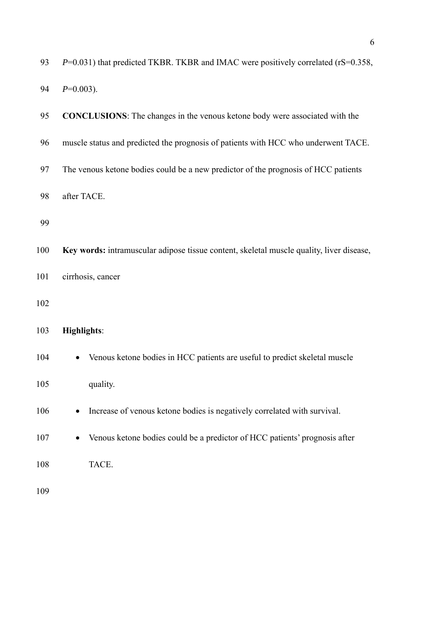| 93  | $P=0.031$ ) that predicted TKBR. TKBR and IMAC were positively correlated (rS=0.358,     |
|-----|------------------------------------------------------------------------------------------|
| 94  | $P=0.003$ ).                                                                             |
| 95  | <b>CONCLUSIONS:</b> The changes in the venous ketone body were associated with the       |
| 96  | muscle status and predicted the prognosis of patients with HCC who underwent TACE.       |
| 97  | The venous ketone bodies could be a new predictor of the prognosis of HCC patients       |
| 98  | after TACE.                                                                              |
| 99  |                                                                                          |
| 100 | Key words: intramuscular adipose tissue content, skeletal muscle quality, liver disease, |
| 101 | cirrhosis, cancer                                                                        |
| 102 |                                                                                          |
| 103 | <b>Highlights:</b>                                                                       |
| 104 | Venous ketone bodies in HCC patients are useful to predict skeletal muscle               |
| 105 | quality.                                                                                 |
| 106 | Increase of venous ketone bodies is negatively correlated with survival.                 |
| 107 | Venous ketone bodies could be a predictor of HCC patients' prognosis after               |
| 108 | TACE.                                                                                    |
| 109 |                                                                                          |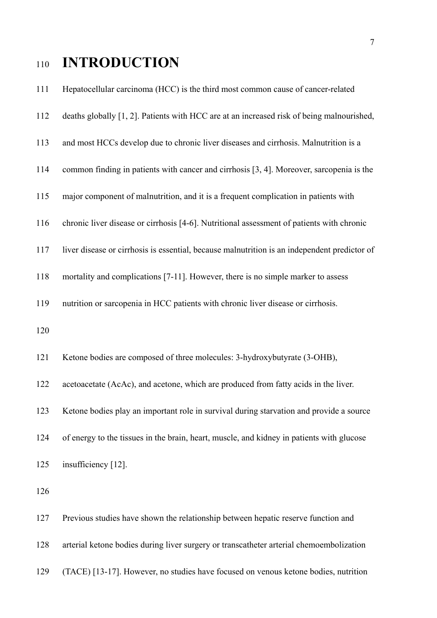## <sup>110</sup>**INTRODUCTION**

111 Hepatocellular carcinoma (HCC) is the third most common cause of cancer-related 112 deaths globally [1, 2]. Patients with HCC are at an increased risk of being malnourished, 113 and most HCCs develop due to chronic liver diseases and cirrhosis. Malnutrition is a 114 common finding in patients with cancer and cirrhosis [3, 4]. Moreover, sarcopenia is the 115 major component of malnutrition, and it is a frequent complication in patients with 116 chronic liver disease or cirrhosis [4-6]. Nutritional assessment of patients with chronic 117 liver disease or cirrhosis is essential, because malnutrition is an independent predictor of 118 mortality and complications [7-11]. However, there is no simple marker to assess 119 nutrition or sarcopenia in HCC patients with chronic liver disease or cirrhosis. 120 121 Ketone bodies are composed of three molecules: 3-hydroxybutyrate (3-OHB), 122 acetoacetate (AcAc), and acetone, which are produced from fatty acids in the liver. 123 Ketone bodies play an important role in survival during starvation and provide a source 124 of energy to the tissues in the brain, heart, muscle, and kidney in patients with glucose 125 insufficiency [12]. 126 127 Previous studies have shown the relationship between hepatic reserve function and

128 arterial ketone bodies during liver surgery or transcatheter arterial chemoembolization

129 (TACE) [13-17]. However, no studies have focused on venous ketone bodies, nutrition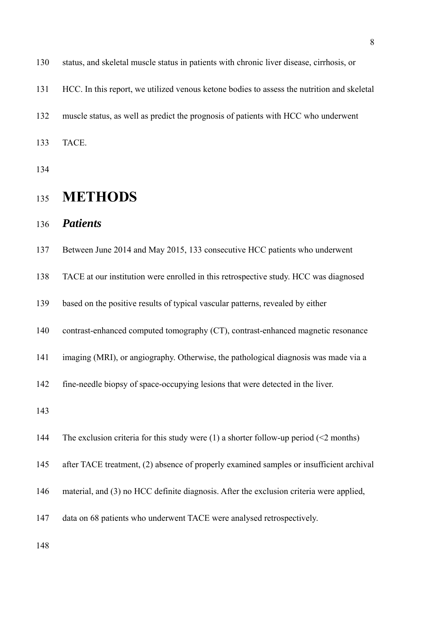| 130 | status, and skeletal muscle status in patients with chronic liver disease, cirrhosis, or     |
|-----|----------------------------------------------------------------------------------------------|
| 131 | HCC. In this report, we utilized venous ketone bodies to assess the nutrition and skeletal   |
| 132 | muscle status, as well as predict the prognosis of patients with HCC who underwent           |
| 133 | TACE.                                                                                        |
| 134 |                                                                                              |
| 135 | <b>METHODS</b>                                                                               |
| 136 | <b>Patients</b>                                                                              |
| 137 | Between June 2014 and May 2015, 133 consecutive HCC patients who underwent                   |
| 138 | TACE at our institution were enrolled in this retrospective study. HCC was diagnosed         |
| 139 | based on the positive results of typical vascular patterns, revealed by either               |
| 140 | contrast-enhanced computed tomography (CT), contrast-enhanced magnetic resonance             |
| 141 | imaging (MRI), or angiography. Otherwise, the pathological diagnosis was made via a          |
| 142 | fine-needle biopsy of space-occupying lesions that were detected in the liver.               |
| 143 |                                                                                              |
| 144 | The exclusion criteria for this study were (1) a shorter follow-up period ( $\leq$ 2 months) |
| 145 | after TACE treatment, (2) absence of properly examined samples or insufficient archival      |
| 146 | material, and (3) no HCC definite diagnosis. After the exclusion criteria were applied,      |
| 147 | data on 68 patients who underwent TACE were analysed retrospectively.                        |
|     |                                                                                              |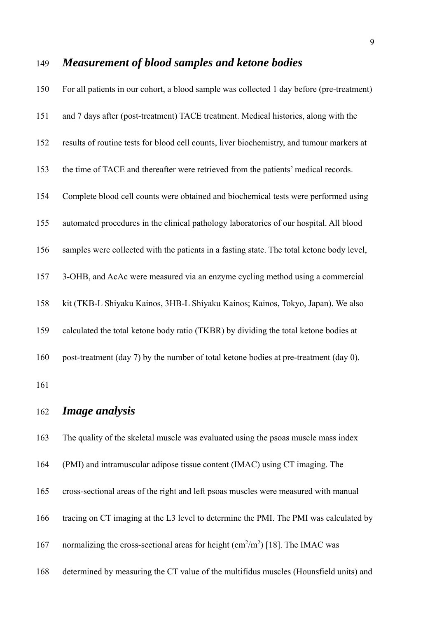| 150 | For all patients in our cohort, a blood sample was collected 1 day before (pre-treatment) |
|-----|-------------------------------------------------------------------------------------------|
| 151 | and 7 days after (post-treatment) TACE treatment. Medical histories, along with the       |
| 152 | results of routine tests for blood cell counts, liver biochemistry, and tumour markers at |
| 153 | the time of TACE and thereafter were retrieved from the patients' medical records.        |
| 154 | Complete blood cell counts were obtained and biochemical tests were performed using       |
| 155 | automated procedures in the clinical pathology laboratories of our hospital. All blood    |
| 156 | samples were collected with the patients in a fasting state. The total ketone body level, |
| 157 | 3-OHB, and AcAc were measured via an enzyme cycling method using a commercial             |
| 158 | kit (TKB-L Shiyaku Kainos, 3HB-L Shiyaku Kainos; Kainos, Tokyo, Japan). We also           |
| 159 | calculated the total ketone body ratio (TKBR) by dividing the total ketone bodies at      |
| 160 | post-treatment (day 7) by the number of total ketone bodies at pre-treatment (day 0).     |
| 161 |                                                                                           |
| 162 | <i>Image analysis</i>                                                                     |
| 163 | The quality of the skeletal muscle was evaluated using the psoas muscle mass index        |
| 164 | (PMI) and intramuscular adipose tissue content (IMAC) using CT imaging. The               |

- 
- 165 cross-sectional areas of the right and left psoas muscles were measured with manual
- 166 tracing on CT imaging at the L3 level to determine the PMI. The PMI was calculated by
- 167 normalizing the cross-sectional areas for height  $\text{(cm}^2/\text{m}^2)$  [18]. The IMAC was
- 168 determined by measuring the CT value of the multifidus muscles (Hounsfield units) and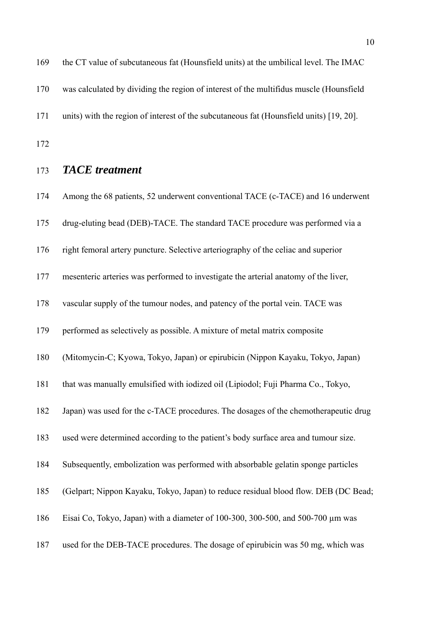169 the CT value of subcutaneous fat (Hounsfield units) at the umbilical level. The IMAC 170 was calculated by dividing the region of interest of the multifidus muscle (Hounsfield 171 units) with the region of interest of the subcutaneous fat (Hounsfield units) [19, 20]. 172

173 *TACE treatment* 

174 Among the 68 patients, 52 underwent conventional TACE (c-TACE) and 16 underwent 175 drug-eluting bead (DEB)-TACE. The standard TACE procedure was performed via a 176 right femoral artery puncture. Selective arteriography of the celiac and superior 177 mesenteric arteries was performed to investigate the arterial anatomy of the liver, 178 vascular supply of the tumour nodes, and patency of the portal vein. TACE was 179 performed as selectively as possible. A mixture of metal matrix composite 180 (Mitomycin-C; Kyowa, Tokyo, Japan) or epirubicin (Nippon Kayaku, Tokyo, Japan) 181 that was manually emulsified with iodized oil (Lipiodol; Fuji Pharma Co., Tokyo, 182 Japan) was used for the c-TACE procedures. The dosages of the chemotherapeutic drug 183 used were determined according to the patient's body surface area and tumour size. 184 Subsequently, embolization was performed with absorbable gelatin sponge particles 185 (Gelpart; Nippon Kayaku, Tokyo, Japan) to reduce residual blood flow. DEB (DC Bead; 186 Eisai Co, Tokyo, Japan) with a diameter of 100-300, 300-500, and 500-700 µm was 187 used for the DEB-TACE procedures. The dosage of epirubicin was 50 mg, which was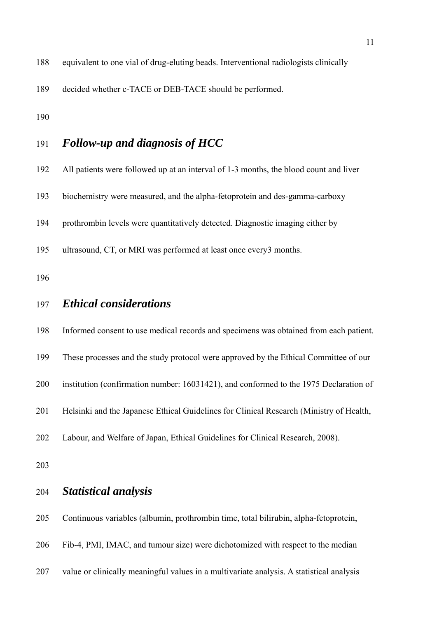188 equivalent to one vial of drug-eluting beads. Interventional radiologists clinically

189 decided whether c-TACE or DEB-TACE should be performed.

190

### 191 *Follow-up and diagnosis of HCC*

- 192 All patients were followed up at an interval of 1-3 months, the blood count and liver
- 193 biochemistry were measured, and the alpha-fetoprotein and des-gamma-carboxy
- 194 prothrombin levels were quantitatively detected. Diagnostic imaging either by
- 195 ultrasound, CT, or MRI was performed at least once every3 months.

196

#### 197 *Ethical considerations*

198 Informed consent to use medical records and specimens was obtained from each patient.

- 199 These processes and the study protocol were approved by the Ethical Committee of our
- 200 institution (confirmation number: 16031421), and conformed to the 1975 Declaration of
- 201 Helsinki and the Japanese Ethical Guidelines for Clinical Research (Ministry of Health,
- 202 Labour, and Welfare of Japan, Ethical Guidelines for Clinical Research, 2008).

203

#### 204 *Statistical analysis*

205 Continuous variables (albumin, prothrombin time, total bilirubin, alpha-fetoprotein,

- 206 Fib-4, PMI, IMAC, and tumour size) were dichotomized with respect to the median
- 207 value or clinically meaningful values in a multivariate analysis. A statistical analysis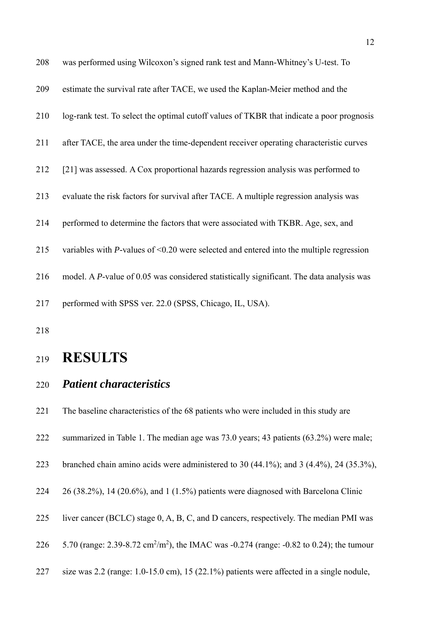| 208 | was performed using Wilcoxon's signed rank test and Mann-Whitney's U-test. To              |
|-----|--------------------------------------------------------------------------------------------|
| 209 | estimate the survival rate after TACE, we used the Kaplan-Meier method and the             |
| 210 | log-rank test. To select the optimal cutoff values of TKBR that indicate a poor prognosis  |
| 211 | after TACE, the area under the time-dependent receiver operating characteristic curves     |
| 212 | [21] was assessed. A Cox proportional hazards regression analysis was performed to         |
| 213 | evaluate the risk factors for survival after TACE. A multiple regression analysis was      |
| 214 | performed to determine the factors that were associated with TKBR. Age, sex, and           |
| 215 | variables with $P$ -values of <0.20 were selected and entered into the multiple regression |
| 216 | model. A P-value of 0.05 was considered statistically significant. The data analysis was   |
| 217 | performed with SPSS ver. 22.0 (SPSS, Chicago, IL, USA).                                    |

## <sup>219</sup>**RESULTS**

#### 220 *Patient characteristics*

221 The baseline characteristics of the 68 patients who were included in this study are

- 222 summarized in Table 1. The median age was 73.0 years; 43 patients (63.2%) were male;
- 223 branched chain amino acids were administered to 30 (44.1%); and 3 (4.4%), 24 (35.3%),

224 26 (38.2%), 14 (20.6%), and 1 (1.5%) patients were diagnosed with Barcelona Clinic

227 size was 2.2 (range: 1.0-15.0 cm), 15 (22.1%) patients were affected in a single nodule,

<sup>225</sup> liver cancer (BCLC) stage 0, A, B, C, and D cancers, respectively. The median PMI was

<sup>226 5.70 (</sup>range: 2.39-8.72 cm<sup>2</sup>/m<sup>2</sup>), the IMAC was -0.274 (range: -0.82 to 0.24); the tumour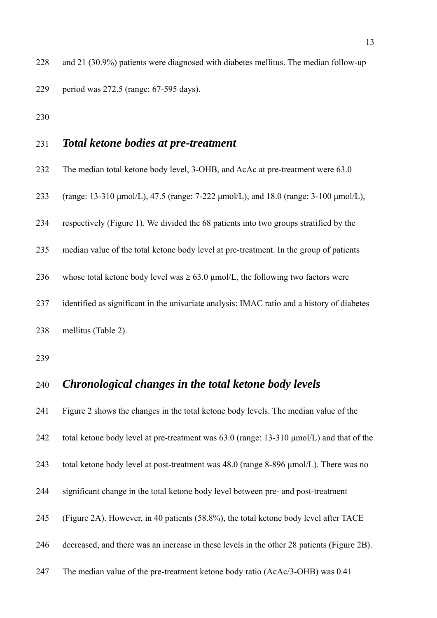228 and 21 (30.9%) patients were diagnosed with diabetes mellitus. The median follow-up 229 period was 272.5 (range: 67-595 days).

230

#### 231 *Total ketone bodies at pre-treatment*

- 232 The median total ketone body level, 3-OHB, and AcAc at pre-treatment were 63.0
- 233 (range: 13-310 μmol/L), 47.5 (range: 7-222 μmol/L), and 18.0 (range: 3-100 μmol/L),
- 234 respectively (Figure 1). We divided the 68 patients into two groups stratified by the
- 235 median value of the total ketone body level at pre-treatment. In the group of patients
- 236 whose total ketone body level was  $\geq 63.0$  µmol/L, the following two factors were
- 237 identified as significant in the univariate analysis: IMAC ratio and a history of diabetes
- 238 mellitus (Table 2).
- 239

#### 240 *Chronological changes in the total ketone body levels*

241 Figure 2 shows the changes in the total ketone body levels. The median value of the 242 total ketone body level at pre-treatment was 63.0 (range: 13-310 μmol/L) and that of the 243 total ketone body level at post-treatment was 48.0 (range 8-896 μmol/L). There was no 244 significant change in the total ketone body level between pre- and post-treatment 245 (Figure 2A). However, in 40 patients (58.8%), the total ketone body level after TACE 246 decreased, and there was an increase in these levels in the other 28 patients (Figure 2B).

247 The median value of the pre-treatment ketone body ratio (AcAc/3-OHB) was 0.41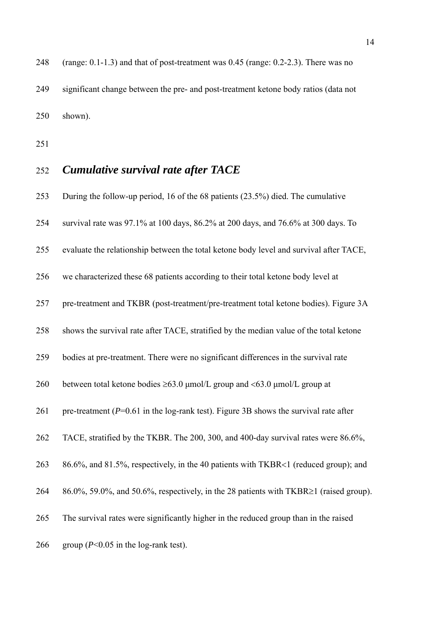248 (range: 0.1-1.3) and that of post-treatment was 0.45 (range: 0.2-2.3). There was no 249 significant change between the pre- and post-treatment ketone body ratios (data not 250 shown).

251

#### 252 *Cumulative survival rate after TACE*

253 During the follow-up period, 16 of the 68 patients (23.5%) died. The cumulative 254 survival rate was 97.1% at 100 days, 86.2% at 200 days, and 76.6% at 300 days. To 255 evaluate the relationship between the total ketone body level and survival after TACE, 256 we characterized these 68 patients according to their total ketone body level at 257 pre-treatment and TKBR (post-treatment/pre-treatment total ketone bodies). Figure 3A 258 shows the survival rate after TACE, stratified by the median value of the total ketone 259 bodies at pre-treatment. There were no significant differences in the survival rate 260 between total ketone bodies  $\geq 63.0$  umol/L group and  $\lt 63.0$  umol/L group at 261 pre-treatment (*P*=0.61 in the log-rank test). Figure 3B shows the survival rate after 262 TACE, stratified by the TKBR. The 200, 300, and 400-day survival rates were 86.6%, 263 86.6%, and 81.5%, respectively, in the 40 patients with TKBR<1 (reduced group); and 264 86.0%, 59.0%, and 50.6%, respectively, in the 28 patients with TKBR $\geq 1$  (raised group). 265 The survival rates were significantly higher in the reduced group than in the raised 266 group  $(P< 0.05$  in the log-rank test).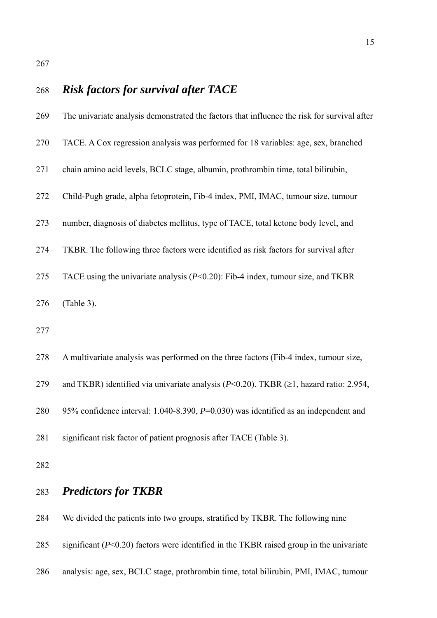# 268 *Risk factors for survival after TACE*  269 The univariate analysis demonstrated the factors that influence the risk for survival after 270 TACE. A Cox regression analysis was performed for 18 variables: age, sex, branched 271 chain amino acid levels, BCLC stage, albumin, prothrombin time, total bilirubin, 272 Child-Pugh grade, alpha fetoprotein, Fib-4 index, PMI, IMAC, tumour size, tumour 273 number, diagnosis of diabetes mellitus, type of TACE, total ketone body level, and 274 TKBR. The following three factors were identified as risk factors for survival after 275 TACE using the univariate analysis (*P*<0.20): Fib-4 index, tumour size, and TKBR 276 (Table 3). 277 278 A multivariate analysis was performed on the three factors (Fib-4 index, tumour size, 279 and TKBR) identified via univariate analysis  $(P< 0.20)$ . TKBR  $(\ge 1$ , hazard ratio: 2.954, 280 95% confidence interval: 1.040-8.390, *P*=0.030) was identified as an independent and 281 significant risk factor of patient prognosis after TACE (Table 3). 282 283 *Predictors for TKBR*  284 We divided the patients into two groups, stratified by TKBR. The following nine

- 285 significant (*P*<0.20) factors were identified in the TKBR raised group in the univariate
- 286 analysis: age, sex, BCLC stage, prothrombin time, total bilirubin, PMI, IMAC, tumour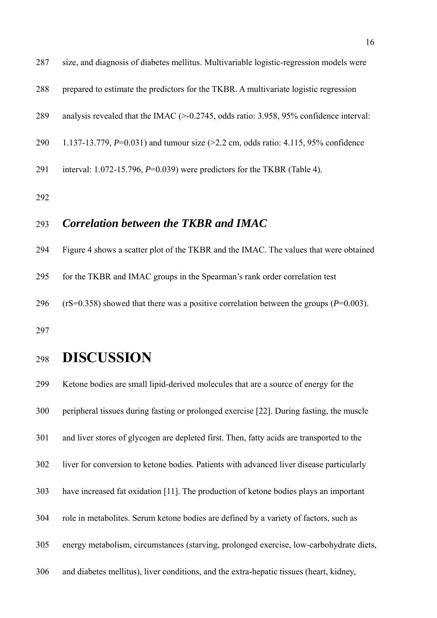| 287 | size, and diagnosis of diabetes mellitus. Multivariable logistic-regression models were                    |
|-----|------------------------------------------------------------------------------------------------------------|
| 288 | prepared to estimate the predictors for the TKBR. A multivariate logistic regression                       |
| 289 | analysis revealed that the IMAC $(>0.2745, \text{ odds ratio: } 3.958, 95\% \text{ confidence interval: }$ |
| 290 | 1.137-13.779, $P=0.031$ ) and tumour size (>2.2 cm, odds ratio: 4.115, 95% confidence                      |
| 291 | interval: 1.072-15.796, $P=0.039$ ) were predictors for the TKBR (Table 4).                                |
| 292 |                                                                                                            |
| 293 | Correlation between the TKBR and IMAC                                                                      |
| 294 | Figure 4 shows a scatter plot of the TKBR and the IMAC. The values that were obtained                      |

295 for the TKBR and IMAC groups in the Spearman's rank order correlation test

296 (rS=0.358) showed that there was a positive correlation between the groups (*P*=0.003).

297

## <sup>298</sup>**DISCUSSION**

299 Ketone bodies are small lipid-derived molecules that are a source of energy for the 300 peripheral tissues during fasting or prolonged exercise [22]. During fasting, the muscle 301 and liver stores of glycogen are depleted first. Then, fatty acids are transported to the 302 liver for conversion to ketone bodies. Patients with advanced liver disease particularly 303 have increased fat oxidation [11]. The production of ketone bodies plays an important 304 role in metabolites. Serum ketone bodies are defined by a variety of factors, such as 305 energy metabolism, circumstances (starving, prolonged exercise, low-carbohydrate diets, 306 and diabetes mellitus), liver conditions, and the extra-hepatic tissues (heart, kidney,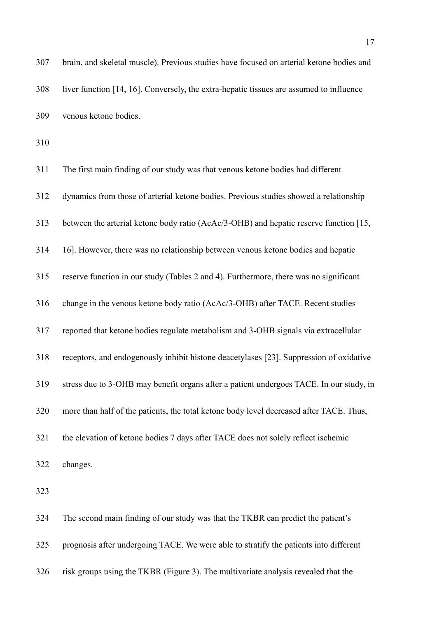| 307 | brain, and skeletal muscle). Previous studies have focused on arterial ketone bodies and |
|-----|------------------------------------------------------------------------------------------|
| 308 | liver function [14, 16]. Conversely, the extra-hepatic tissues are assumed to influence  |
| 309 | venous ketone bodies.                                                                    |
| 310 |                                                                                          |
| 311 | The first main finding of our study was that venous ketone bodies had different          |
| 312 | dynamics from those of arterial ketone bodies. Previous studies showed a relationship    |
| 313 | between the arterial ketone body ratio (AcAc/3-OHB) and hepatic reserve function [15,    |
| 314 | 16]. However, there was no relationship between venous ketone bodies and hepatic         |
| 315 | reserve function in our study (Tables 2 and 4). Furthermore, there was no significant    |
| 316 | change in the venous ketone body ratio (AcAc/3-OHB) after TACE. Recent studies           |
| 317 | reported that ketone bodies regulate metabolism and 3-OHB signals via extracellular      |
| 318 | receptors, and endogenously inhibit histone deacetylases [23]. Suppression of oxidative  |
| 319 | stress due to 3-OHB may benefit organs after a patient undergoes TACE. In our study, in  |
| 320 | more than half of the patients, the total ketone body level decreased after TACE. Thus,  |
| 321 | the elevation of ketone bodies 7 days after TACE does not solely reflect ischemic        |
| 322 | changes.                                                                                 |
| 323 |                                                                                          |
| 324 | The second main finding of our study was that the TKBR can predict the patient's         |
| 325 | prognosis after undergoing TACE. We were able to stratify the patients into different    |

326 risk groups using the TKBR (Figure 3). The multivariate analysis revealed that the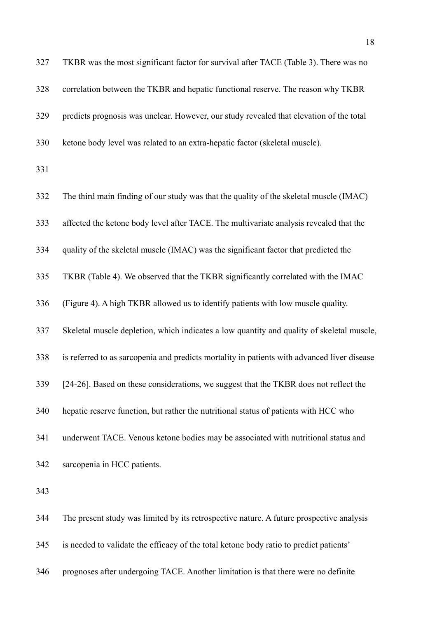| 327 | TKBR was the most significant factor for survival after TACE (Table 3). There was no        |
|-----|---------------------------------------------------------------------------------------------|
| 328 | correlation between the TKBR and hepatic functional reserve. The reason why TKBR            |
| 329 | predicts prognosis was unclear. However, our study revealed that elevation of the total     |
| 330 | ketone body level was related to an extra-hepatic factor (skeletal muscle).                 |
| 331 |                                                                                             |
| 332 | The third main finding of our study was that the quality of the skeletal muscle (IMAC)      |
| 333 | affected the ketone body level after TACE. The multivariate analysis revealed that the      |
| 334 | quality of the skeletal muscle (IMAC) was the significant factor that predicted the         |
| 335 | TKBR (Table 4). We observed that the TKBR significantly correlated with the IMAC            |
| 336 | (Figure 4). A high TKBR allowed us to identify patients with low muscle quality.            |
| 337 | Skeletal muscle depletion, which indicates a low quantity and quality of skeletal muscle,   |
| 338 | is referred to as sarcopenia and predicts mortality in patients with advanced liver disease |
| 339 | [24-26]. Based on these considerations, we suggest that the TKBR does not reflect the       |
| 340 | hepatic reserve function, but rather the nutritional status of patients with HCC who        |
| 341 | underwent TACE. Venous ketone bodies may be associated with nutritional status and          |
| 342 | sarcopenia in HCC patients.                                                                 |
| 343 |                                                                                             |
| 344 | The present study was limited by its retrospective nature. A future prospective analysis    |
| 345 | is needed to validate the efficacy of the total ketone body ratio to predict patients'      |

346 prognoses after undergoing TACE. Another limitation is that there were no definite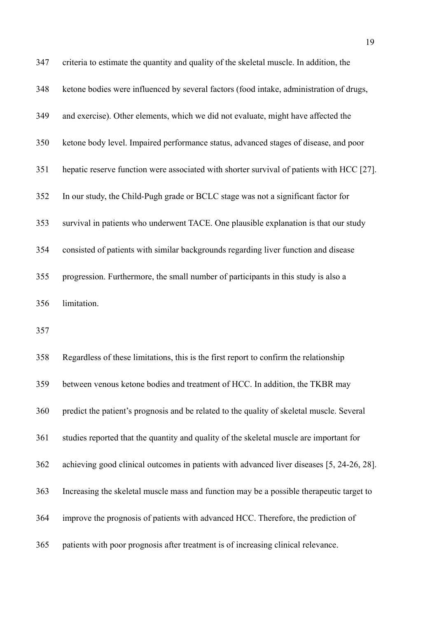| 347 | criteria to estimate the quantity and quality of the skeletal muscle. In addition, the    |
|-----|-------------------------------------------------------------------------------------------|
| 348 | ketone bodies were influenced by several factors (food intake, administration of drugs,   |
| 349 | and exercise). Other elements, which we did not evaluate, might have affected the         |
| 350 | ketone body level. Impaired performance status, advanced stages of disease, and poor      |
| 351 | hepatic reserve function were associated with shorter survival of patients with HCC [27]. |
| 352 | In our study, the Child-Pugh grade or BCLC stage was not a significant factor for         |
| 353 | survival in patients who underwent TACE. One plausible explanation is that our study      |
| 354 | consisted of patients with similar backgrounds regarding liver function and disease       |
| 355 | progression. Furthermore, the small number of participants in this study is also a        |
| 356 | limitation.                                                                               |
| 357 |                                                                                           |
|     |                                                                                           |

358 Regardless of these limitations, this is the first report to confirm the relationship 359 between venous ketone bodies and treatment of HCC. In addition, the TKBR may 360 predict the patient's prognosis and be related to the quality of skeletal muscle. Several 361 studies reported that the quantity and quality of the skeletal muscle are important for 362 achieving good clinical outcomes in patients with advanced liver diseases [5, 24-26, 28]. 363 Increasing the skeletal muscle mass and function may be a possible therapeutic target to 364 improve the prognosis of patients with advanced HCC. Therefore, the prediction of 365 patients with poor prognosis after treatment is of increasing clinical relevance.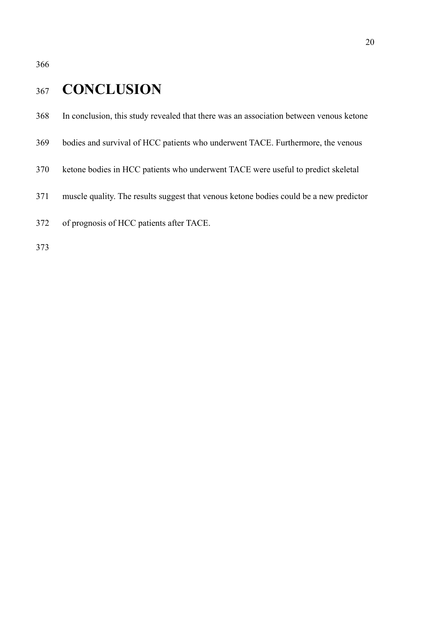## 367 **CONCLUSION**

- 368 In conclusion, this study revealed that there was an association between venous ketone
- 369 bodies and survival of HCC patients who underwent TACE. Furthermore, the venous
- 370 ketone bodies in HCC patients who underwent TACE were useful to predict skeletal
- 371 muscle quality. The results suggest that venous ketone bodies could be a new predictor
- 372 of prognosis of HCC patients after TACE.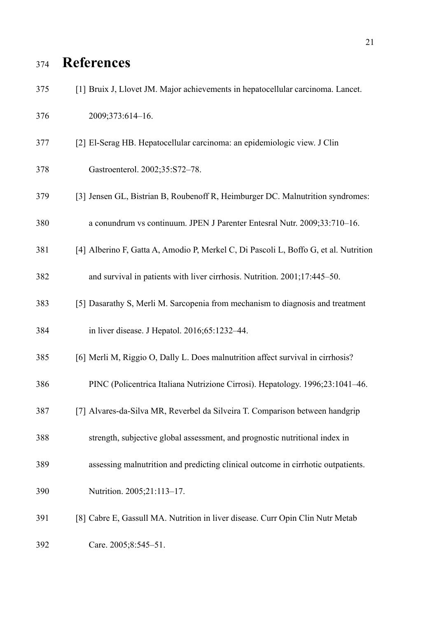# <sup>374</sup>**References**

| 375 | [1] Bruix J, Llovet JM. Major achievements in hepatocellular carcinoma. Lancet.      |
|-----|--------------------------------------------------------------------------------------|
| 376 | 2009;373:614-16.                                                                     |
| 377 | [2] El-Serag HB. Hepatocellular carcinoma: an epidemiologic view. J Clin             |
| 378 | Gastroenterol. 2002;35:S72-78.                                                       |
| 379 | [3] Jensen GL, Bistrian B, Roubenoff R, Heimburger DC. Malnutrition syndromes:       |
| 380 | a conundrum vs continuum. JPEN J Parenter Entesral Nutr. 2009;33:710-16.             |
| 381 | [4] Alberino F, Gatta A, Amodio P, Merkel C, Di Pascoli L, Boffo G, et al. Nutrition |
| 382 | and survival in patients with liver cirrhosis. Nutrition. 2001;17:445-50.            |
| 383 | [5] Dasarathy S, Merli M. Sarcopenia from mechanism to diagnosis and treatment       |
| 384 | in liver disease. J Hepatol. 2016;65:1232-44.                                        |
| 385 | [6] Merli M, Riggio O, Dally L. Does malnutrition affect survival in cirrhosis?      |
| 386 | PINC (Policentrica Italiana Nutrizione Cirrosi). Hepatology. 1996;23:1041-46.        |
| 387 | [7] Alvares-da-Silva MR, Reverbel da Silveira T. Comparison between handgrip         |
| 388 | strength, subjective global assessment, and prognostic nutritional index in          |
| 389 | assessing malnutrition and predicting clinical outcome in cirrhotic outpatients.     |
| 390 | Nutrition. 2005;21:113-17.                                                           |
| 391 | [8] Cabre E, Gassull MA. Nutrition in liver disease. Curr Opin Clin Nutr Metab       |
| 392 | Care. 2005;8:545-51.                                                                 |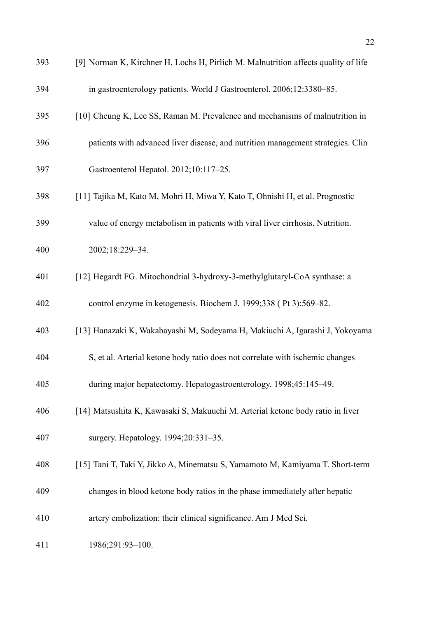| 393 | [9] Norman K, Kirchner H, Lochs H, Pirlich M. Malnutrition affects quality of life |
|-----|------------------------------------------------------------------------------------|
| 394 | in gastroenterology patients. World J Gastroenterol. 2006;12:3380-85.              |
| 395 | [10] Cheung K, Lee SS, Raman M. Prevalence and mechanisms of malnutrition in       |
| 396 | patients with advanced liver disease, and nutrition management strategies. Clin    |
| 397 | Gastroenterol Hepatol. 2012;10:117-25.                                             |
| 398 | [11] Tajika M, Kato M, Mohri H, Miwa Y, Kato T, Ohnishi H, et al. Prognostic       |
| 399 | value of energy metabolism in patients with viral liver cirrhosis. Nutrition.      |
| 400 | 2002;18:229-34.                                                                    |
| 401 | [12] Hegardt FG. Mitochondrial 3-hydroxy-3-methylglutaryl-CoA synthase: a          |
| 402 | control enzyme in ketogenesis. Biochem J. 1999;338 (Pt 3):569–82.                  |
| 403 | [13] Hanazaki K, Wakabayashi M, Sodeyama H, Makiuchi A, Igarashi J, Yokoyama       |
| 404 | S, et al. Arterial ketone body ratio does not correlate with ischemic changes      |
| 405 | during major hepatectomy. Hepatogastroenterology. 1998;45:145-49.                  |
| 406 | [14] Matsushita K, Kawasaki S, Makuuchi M. Arterial ketone body ratio in liver     |
| 407 | surgery. Hepatology. 1994;20:331-35.                                               |
| 408 | [15] Tani T, Taki Y, Jikko A, Minematsu S, Yamamoto M, Kamiyama T. Short-term      |
| 409 | changes in blood ketone body ratios in the phase immediately after hepatic         |
| 410 | artery embolization: their clinical significance. Am J Med Sci.                    |
| 411 | 1986;291:93-100.                                                                   |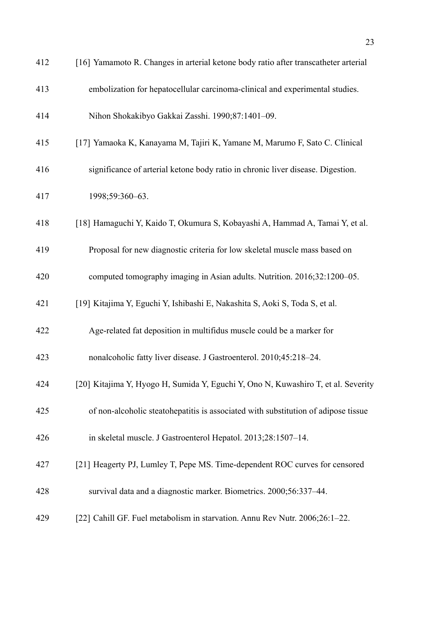| 412 | [16] Yamamoto R. Changes in arterial ketone body ratio after transcatheter arterial |
|-----|-------------------------------------------------------------------------------------|
| 413 | embolization for hepatocellular carcinoma-clinical and experimental studies.        |
| 414 | Nihon Shokakibyo Gakkai Zasshi. 1990;87:1401-09.                                    |
| 415 | [17] Yamaoka K, Kanayama M, Tajiri K, Yamane M, Marumo F, Sato C. Clinical          |
| 416 | significance of arterial ketone body ratio in chronic liver disease. Digestion.     |
| 417 | 1998;59:360-63.                                                                     |
| 418 | [18] Hamaguchi Y, Kaido T, Okumura S, Kobayashi A, Hammad A, Tamai Y, et al.        |
| 419 | Proposal for new diagnostic criteria for low skeletal muscle mass based on          |
| 420 | computed tomography imaging in Asian adults. Nutrition. 2016;32:1200–05.            |
| 421 | [19] Kitajima Y, Eguchi Y, Ishibashi E, Nakashita S, Aoki S, Toda S, et al.         |
| 422 | Age-related fat deposition in multifidus muscle could be a marker for               |
| 423 | nonalcoholic fatty liver disease. J Gastroenterol. 2010;45:218-24.                  |
| 424 | [20] Kitajima Y, Hyogo H, Sumida Y, Eguchi Y, Ono N, Kuwashiro T, et al. Severity   |
| 425 | of non-alcoholic steatohepatitis is associated with substitution of adipose tissue  |
| 426 | in skeletal muscle. J Gastroenterol Hepatol. 2013;28:1507-14.                       |
| 427 | [21] Heagerty PJ, Lumley T, Pepe MS. Time-dependent ROC curves for censored         |
| 428 | survival data and a diagnostic marker. Biometrics. 2000;56:337-44.                  |
| 429 | [22] Cahill GF. Fuel metabolism in starvation. Annu Rev Nutr. 2006;26:1-22.         |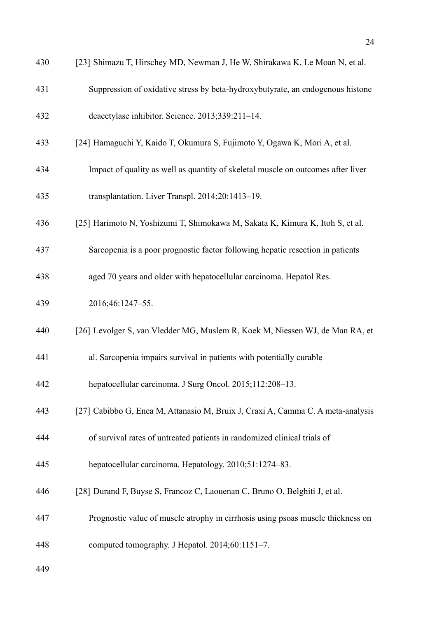| 430 | [23] Shimazu T, Hirschey MD, Newman J, He W, Shirakawa K, Le Moan N, et al.      |
|-----|----------------------------------------------------------------------------------|
| 431 | Suppression of oxidative stress by beta-hydroxybutyrate, an endogenous histone   |
| 432 | deacetylase inhibitor. Science. 2013;339:211-14.                                 |
| 433 | [24] Hamaguchi Y, Kaido T, Okumura S, Fujimoto Y, Ogawa K, Mori A, et al.        |
| 434 | Impact of quality as well as quantity of skeletal muscle on outcomes after liver |
| 435 | transplantation. Liver Transpl. 2014;20:1413-19.                                 |
| 436 | [25] Harimoto N, Yoshizumi T, Shimokawa M, Sakata K, Kimura K, Itoh S, et al.    |
| 437 | Sarcopenia is a poor prognostic factor following hepatic resection in patients   |
| 438 | aged 70 years and older with hepatocellular carcinoma. Hepatol Res.              |
| 439 | 2016;46:1247-55.                                                                 |
| 440 | [26] Levolger S, van Vledder MG, Muslem R, Koek M, Niessen WJ, de Man RA, et     |
| 441 | al. Sarcopenia impairs survival in patients with potentially curable             |
| 442 | hepatocellular carcinoma. J Surg Oncol. 2015;112:208-13.                         |
| 443 | [27] Cabibbo G, Enea M, Attanasio M, Bruix J, Craxi A, Camma C. A meta-analysis  |
| 444 | of survival rates of untreated patients in randomized clinical trials of         |
| 445 | hepatocellular carcinoma. Hepatology. 2010;51:1274-83.                           |
| 446 | [28] Durand F, Buyse S, Francoz C, Laouenan C, Bruno O, Belghiti J, et al.       |
| 447 | Prognostic value of muscle atrophy in cirrhosis using psoas muscle thickness on  |
| 448 | computed tomography. J Hepatol. 2014;60:1151-7.                                  |
| 449 |                                                                                  |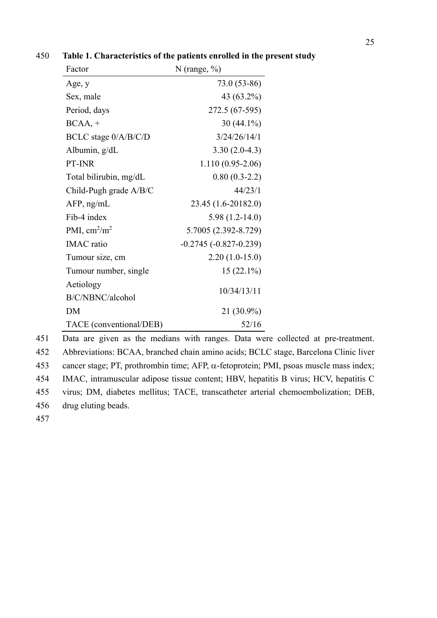| Factor                        | N (range, $\%$ )        |
|-------------------------------|-------------------------|
| Age, y                        | 73.0 (53-86)            |
| Sex, male                     | 43 (63.2%)              |
| Period, days                  | 272.5 (67-595)          |
| $BCAA, +$                     | $30(44.1\%)$            |
| BCLC stage 0/A/B/C/D          | 3/24/26/14/1            |
| Albumin, g/dL                 | $3.30(2.0-4.3)$         |
| PT-INR                        | $1.110(0.95-2.06)$      |
| Total bilirubin, mg/dL        | $0.80(0.3-2.2)$         |
| Child-Pugh grade A/B/C        | 44/23/1                 |
| $AFP$ , ng/mL                 | 23.45 (1.6-20182.0)     |
| Fib-4 index                   | $5.98(1.2-14.0)$        |
| PMI, $\text{cm}^2/\text{m}^2$ | 5.7005 (2.392-8.729)    |
| <b>IMAC</b> ratio             | $-0.2745(-0.827-0.239)$ |
| Tumour size, cm               | $2.20(1.0-15.0)$        |
| Tumour number, single         | $15(22.1\%)$            |
| Aetiology                     | 10/34/13/11             |
| B/C/NBNC/alcohol              |                         |
| DM                            | 21 (30.9%)              |
| TACE (conventional/DEB)       | 52/16                   |

450 **Table 1. Characteristics of the patients enrolled in the present study** 

451 Data are given as the medians with ranges. Data were collected at pre-treatment. 452 Abbreviations: BCAA, branched chain amino acids; BCLC stage, Barcelona Clinic liver 453 cancer stage; PT, prothrombin time; AFP,  $\alpha$ -fetoprotein; PMI, psoas muscle mass index; 454 IMAC, intramuscular adipose tissue content; HBV, hepatitis B virus; HCV, hepatitis C 455 virus; DM, diabetes mellitus; TACE, transcatheter arterial chemoembolization; DEB, 456 drug eluting beads. 457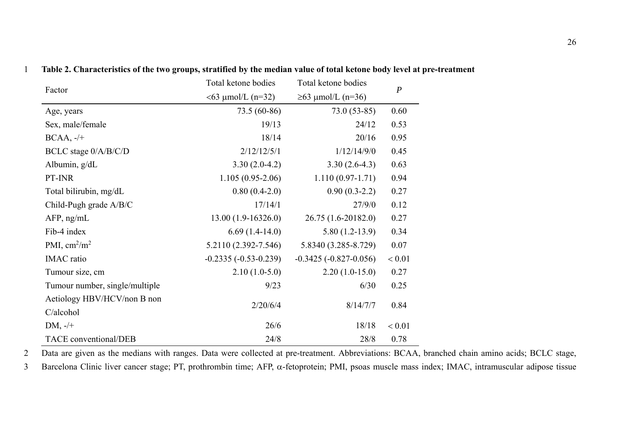| Factor                         | Total ketone bodies       | Total ketone bodies     | $\boldsymbol{P}$ |  |
|--------------------------------|---------------------------|-------------------------|------------------|--|
|                                | $<$ 63 $\mu$ mol/L (n=32) | $≥63$ μmol/L (n=36)     |                  |  |
| Age, years                     | 73.5 (60-86)              | $73.0(53-85)$           | 0.60             |  |
| Sex, male/female               | 19/13                     | 24/12                   | 0.53             |  |
| $BCAA, -/+$                    | 18/14                     | 20/16                   | 0.95             |  |
| BCLC stage 0/A/B/C/D           | 2/12/12/5/1               | 1/12/14/9/0             | 0.45             |  |
| Albumin, g/dL                  | $3.30(2.0-4.2)$           | $3.30(2.6-4.3)$         | 0.63             |  |
| PT-INR                         | $1.105(0.95-2.06)$        | $1.110(0.97-1.71)$      | 0.94             |  |
| Total bilirubin, mg/dL         | $0.80(0.4-2.0)$           | $0.90(0.3-2.2)$         | 0.27             |  |
| Child-Pugh grade A/B/C         | 17/14/1                   | 27/9/0                  | 0.12             |  |
| $AFP$ , ng/mL                  | 13.00 (1.9-16326.0)       | 26.75 (1.6-20182.0)     | 0.27             |  |
| Fib-4 index                    | $6.69(1.4-14.0)$          | $5.80(1.2-13.9)$        | 0.34             |  |
| PMI, $\text{cm}^2/\text{m}^2$  | 5.2110 (2.392-7.546)      | 5.8340 (3.285-8.729)    | 0.07             |  |
| <b>IMAC</b> ratio              | $-0.2335(-0.53-0.239)$    | $-0.3425(-0.827-0.056)$ | < 0.01           |  |
| Tumour size, cm                | $2.10(1.0-5.0)$           | $2.20(1.0-15.0)$        | 0.27             |  |
| Tumour number, single/multiple | 9/23                      | 6/30                    | 0.25             |  |
| Aetiology HBV/HCV/non B non    |                           |                         |                  |  |
| C/alcohol                      | 2/20/6/4                  | 8/14/7/7                | 0.84             |  |
| $DM, -/+$                      | 26/6                      | 18/18                   | < 0.01           |  |
| TACE conventional/DEB          | 24/8                      | 28/8                    | 0.78             |  |

#### 1 **Table 2. Characteristics of the two groups, stratified by the median value of total ketone body level at pre-treatment**

2 Data are given as the medians with ranges. Data were collected at pre-treatment. Abbreviations: BCAA, branched chain amino acids; BCLC stage,

3 Barcelona Clinic liver cancer stage; PT, prothrombin time; AFP,  $\alpha$ -fetoprotein; PMI, psoas muscle mass index; IMAC, intramuscular adipose tissue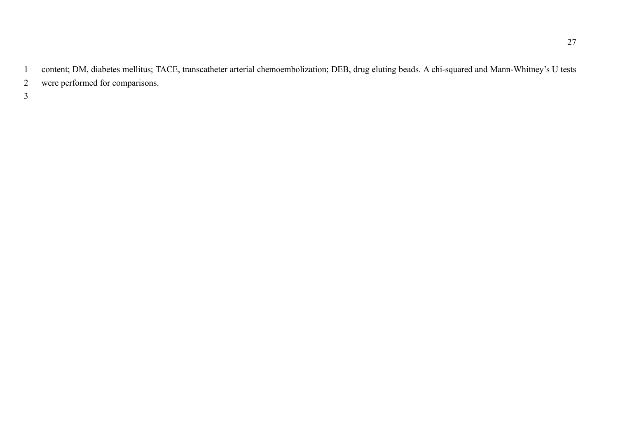1 content; DM, diabetes mellitus; TACE, transcatheter arterial chemoembolization; DEB, drug eluting beads. A chi-squared and Mann-Whitney's U tests 2 were performed for comparisons.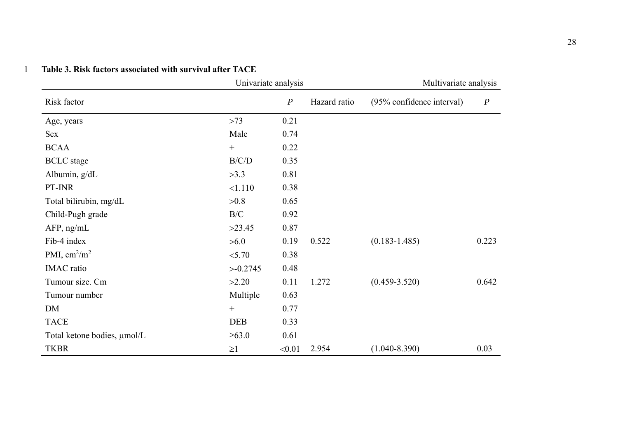| Univariate analysis           |                  | Multivariate analysis |              |                           |                  |
|-------------------------------|------------------|-----------------------|--------------|---------------------------|------------------|
| Risk factor                   |                  | $\boldsymbol{P}$      | Hazard ratio | (95% confidence interval) | $\boldsymbol{P}$ |
| Age, years                    | >73              | 0.21                  |              |                           |                  |
| Sex                           | Male             | 0.74                  |              |                           |                  |
| <b>BCAA</b>                   | $+$              | 0.22                  |              |                           |                  |
| <b>BCLC</b> stage             | B/C/D            | 0.35                  |              |                           |                  |
| Albumin, g/dL                 | >3.3             | 0.81                  |              |                           |                  |
| PT-INR                        | <1.110           | 0.38                  |              |                           |                  |
| Total bilirubin, mg/dL        | >0.8             | 0.65                  |              |                           |                  |
| Child-Pugh grade              | B/C              | 0.92                  |              |                           |                  |
| $AFP$ , ng/mL                 | >23.45           | 0.87                  |              |                           |                  |
| Fib-4 index                   | >6.0             | 0.19                  | 0.522        | $(0.183 - 1.485)$         | 0.223            |
| PMI, $\text{cm}^2/\text{m}^2$ | < 5.70           | 0.38                  |              |                           |                  |
| <b>IMAC</b> ratio             | >0.2745          | 0.48                  |              |                           |                  |
| Tumour size. Cm               | >2.20            | 0.11                  | 1.272        | $(0.459 - 3.520)$         | 0.642            |
| Tumour number                 | Multiple         | 0.63                  |              |                           |                  |
| DM                            | $\boldsymbol{+}$ | 0.77                  |              |                           |                  |
| <b>TACE</b>                   | <b>DEB</b>       | 0.33                  |              |                           |                  |
| Total ketone bodies, µmol/L   | $\geq 63.0$      | 0.61                  |              |                           |                  |
| <b>TKBR</b>                   | $\geq$ 1         | < 0.01                | 2.954        | $(1.040 - 8.390)$         | 0.03             |

#### 1 **Table 3. Risk factors associated with survival after TACE**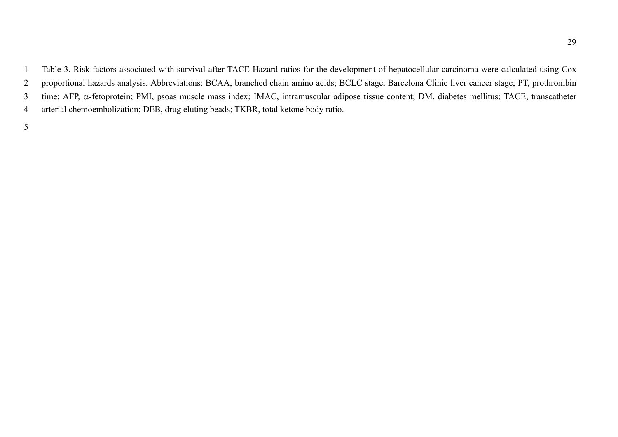1 Table 3. Risk factors associated with survival after TACE Hazard ratios for the development of hepatocellular carcinoma were calculated using Cox 2 proportional hazards analysis. Abbreviations: BCAA, branched chain amino acids; BCLC stage, Barcelona Clinic liver cancer stage; PT, prothrombin 3 time; AFP, α-fetoprotein; PMI, psoas muscle mass index; IMAC, intramuscular adipose tissue content; DM, diabetes mellitus; TACE, transcatheter 4 arterial chemoembolization; DEB, drug eluting beads; TKBR, total ketone body ratio.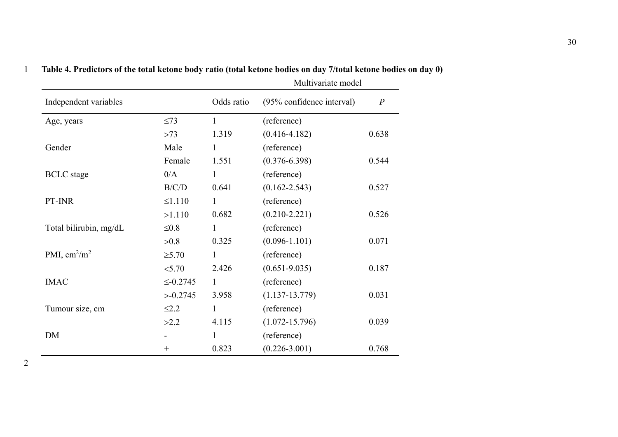| Independent variables         |                | Odds ratio   | (95% confidence interval) | $\boldsymbol{P}$ |
|-------------------------------|----------------|--------------|---------------------------|------------------|
| Age, years                    | $\leq$ 73      | $\mathbf{1}$ | (reference)               |                  |
|                               | $>73$          | 1.319        | $(0.416 - 4.182)$         | 0.638            |
| Gender                        | Male           | $\mathbf{1}$ | (reference)               |                  |
|                               | Female         | 1.551        | $(0.376 - 6.398)$         | 0.544            |
| <b>BCLC</b> stage             | 0/A            | $\mathbf{1}$ | (reference)               |                  |
|                               | B/C/D          | 0.641        | $(0.162 - 2.543)$         | 0.527            |
| PT-INR                        | $\leq 1.110$   | $\mathbf{1}$ | (reference)               |                  |
|                               | >1.110         | 0.682        | $(0.210 - 2.221)$         | 0.526            |
| Total bilirubin, mg/dL        | $\leq 0.8$     | $\mathbf{1}$ | (reference)               |                  |
|                               | >0.8           | 0.325        | $(0.096 - 1.101)$         | 0.071            |
| PMI, $\text{cm}^2/\text{m}^2$ | $\geq 5.70$    | $\mathbf{1}$ | (reference)               |                  |
|                               | < 5.70         | 2.426        | $(0.651 - 9.035)$         | 0.187            |
| <b>IMAC</b>                   | $\leq -0.2745$ | $\mathbf{1}$ | (reference)               |                  |
|                               | >0.2745        | 3.958        | $(1.137 - 13.779)$        | 0.031            |
| Tumour size, cm               | $\leq$ 2.2     | $\mathbf{1}$ | (reference)               |                  |
|                               | >2.2           | 4.115        | $(1.072 - 15.796)$        | 0.039            |
| <b>DM</b>                     |                | $\mathbf{1}$ | (reference)               |                  |
|                               | $^{+}$         | 0.823        | $(0.226 - 3.001)$         | 0.768            |

#### 1 **Table 4. Predictors of the total ketone body ratio (total ketone bodies on day 7/total ketone bodies on day 0)**  Multivariate model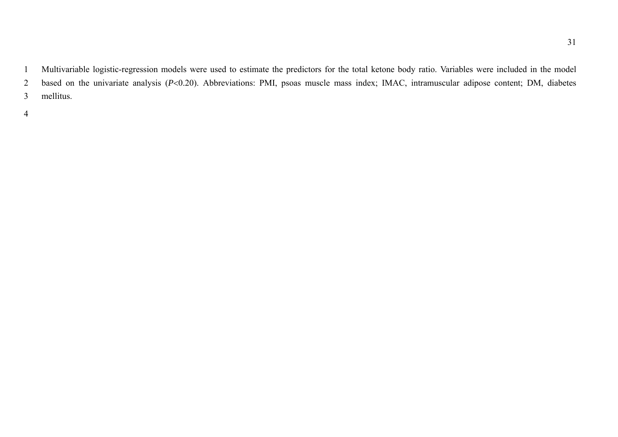1 Multivariable logistic-regression models were used to estimate the predictors for the total ketone body ratio. Variables were included in the model 2 based on the univariate analysis (P<0.20). Abbreviations: PMI, psoas muscle mass index; IMAC, intramuscular adipose content; DM, diabetes

3 mellitus.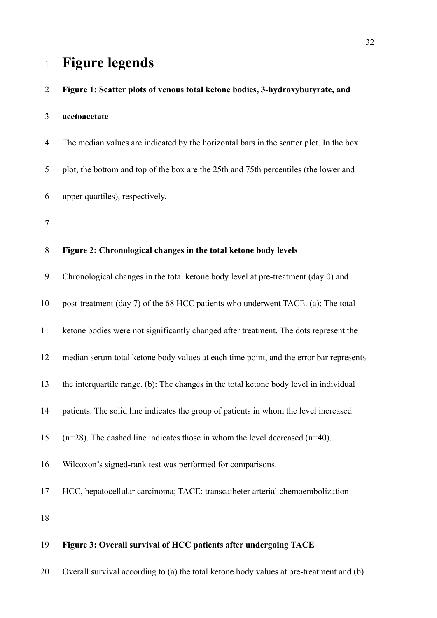# <sup>1</sup>**Figure legends**

| $\overline{2}$ | Figure 1: Scatter plots of venous total ketone bodies, 3-hydroxybutyrate, and          |
|----------------|----------------------------------------------------------------------------------------|
| 3              | acetoacetate                                                                           |
| $\overline{4}$ | The median values are indicated by the horizontal bars in the scatter plot. In the box |
| 5              | plot, the bottom and top of the box are the 25th and 75th percentiles (the lower and   |
| 6              | upper quartiles), respectively.                                                        |
| 7              |                                                                                        |
| 8              | Figure 2: Chronological changes in the total ketone body levels                        |
| 9              | Chronological changes in the total ketone body level at pre-treatment (day 0) and      |
| 10             | post-treatment (day 7) of the 68 HCC patients who underwent TACE. (a): The total       |
| 11             | ketone bodies were not significantly changed after treatment. The dots represent the   |
| 12             | median serum total ketone body values at each time point, and the error bar represents |
| 13             | the interquartile range. (b): The changes in the total ketone body level in individual |
| 14             | patients. The solid line indicates the group of patients in whom the level increased   |
| 15             | $(n=28)$ . The dashed line indicates those in whom the level decreased $(n=40)$ .      |
| 16             | Wilcoxon's signed-rank test was performed for comparisons.                             |
| 17             | HCC, hepatocellular carcinoma; TACE: transcatheter arterial chemoembolization          |
| 18             |                                                                                        |
| 19             | Figure 3: Overall survival of HCC patients after undergoing TACE                       |

20 Overall survival according to (a) the total ketone body values at pre-treatment and (b)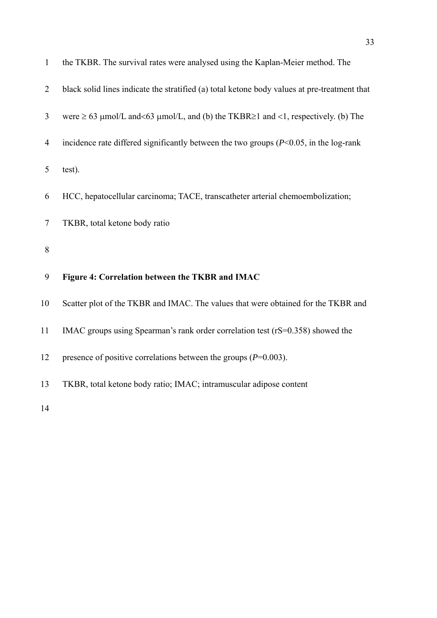| $\mathbf{1}$   | the TKBR. The survival rates were analysed using the Kaplan-Meier method. The                |
|----------------|----------------------------------------------------------------------------------------------|
| $\overline{2}$ | black solid lines indicate the stratified (a) total ketone body values at pre-treatment that |
| 3              | were $\geq 63$ µmol/L and<63 µmol/L, and (b) the TKBR $\geq 1$ and <1, respectively. (b) The |
| $\overline{4}$ | incidence rate differed significantly between the two groups $(P<0.05$ , in the log-rank     |
| 5              | test).                                                                                       |
| 6              | HCC, hepatocellular carcinoma; TACE, transcatheter arterial chemoembolization;               |
| $\tau$         | TKBR, total ketone body ratio                                                                |
|                |                                                                                              |
| $8\,$          |                                                                                              |
| 9              | Figure 4: Correlation between the TKBR and IMAC                                              |
| 10             | Scatter plot of the TKBR and IMAC. The values that were obtained for the TKBR and            |
| 11             | IMAC groups using Spearman's rank order correlation test (rS=0.358) showed the               |
| 12             | presence of positive correlations between the groups ( $P=0.003$ ).                          |
| 13             | TKBR, total ketone body ratio; IMAC; intramuscular adipose content                           |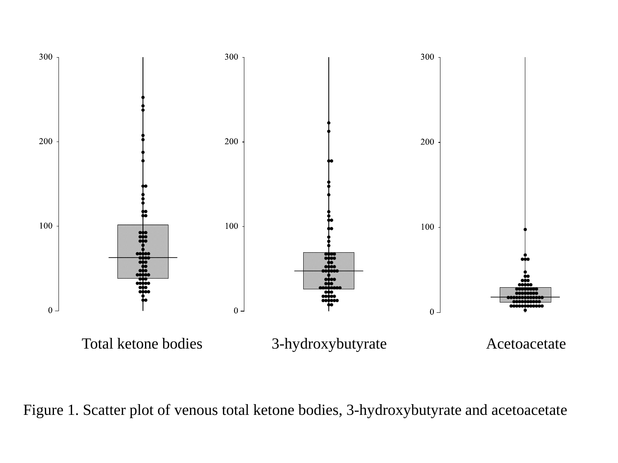

Figure 1. Scatter plot of venous total ketone bodies, 3-hydroxybutyrate and acetoacetate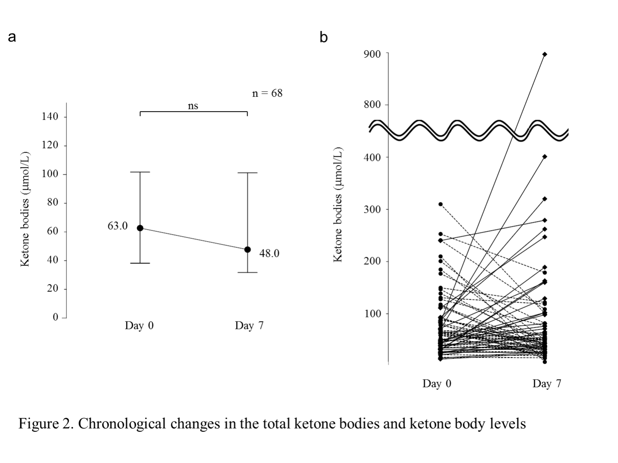

Figure 2. Chronological changes in the total ketone bodies and ketone body levels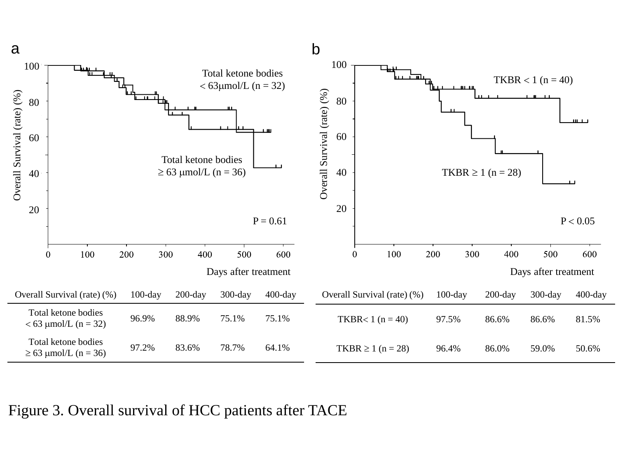

Figure 3. Overall survival of HCC patients after TACE